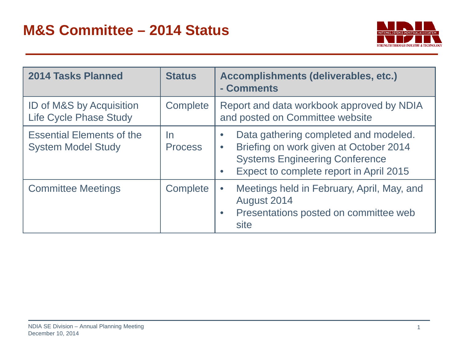

| 2014 Tasks Planned                                            | <b>Status</b>               | Accomplishments (deliverables, etc.)<br>- Comments                                                                                                                                                         |
|---------------------------------------------------------------|-----------------------------|------------------------------------------------------------------------------------------------------------------------------------------------------------------------------------------------------------|
| ID of M&S by Acquisition<br><b>Life Cycle Phase Study</b>     | Complete                    | Report and data workbook approved by NDIA<br>and posted on Committee website                                                                                                                               |
| <b>Essential Elements of the</b><br><b>System Model Study</b> | <u>In</u><br><b>Process</b> | Data gathering completed and modeled.<br>$\bullet$<br>Briefing on work given at October 2014<br>$\bullet$<br><b>Systems Engineering Conference</b><br>Expect to complete report in April 2015<br>$\bullet$ |
| <b>Committee Meetings</b>                                     | Complete                    | Meetings held in February, April, May, and<br>$\bullet$<br>August 2014<br>Presentations posted on committee web<br>$\bullet$<br>site                                                                       |